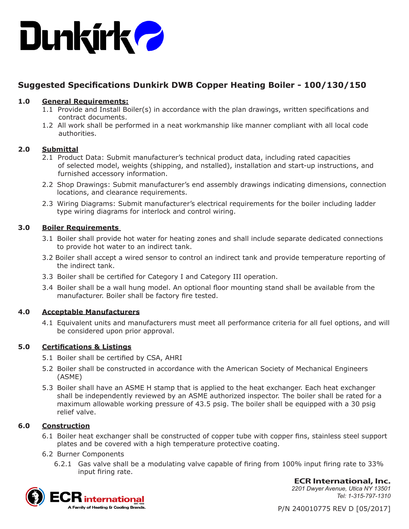

# **Suggested Specifications Dunkirk DWB Copper Heating Boiler - 100/130/150**

# **1.0 General Requirements:**

- 1.1 Provide and Install Boiler(s) in accordance with the plan drawings, written specifications and contract documents.
- 1.2 All work shall be performed in a neat workmanship like manner compliant with all local code authorities.

# **2.0 Submittal**

- 2.1 Product Data: Submit manufacturer's technical product data, including rated capacities of selected model, weights (shipping, and nstalled), installation and start-up instructions, and furnished accessory information.
- 2.2 Shop Drawings: Submit manufacturer's end assembly drawings indicating dimensions, connection locations, and clearance requirements.
- 2.3 Wiring Diagrams: Submit manufacturer's electrical requirements for the boiler including ladder type wiring diagrams for interlock and control wiring.

# **3.0 Boiler Requirements**

- 3.1 Boiler shall provide hot water for heating zones and shall include separate dedicated connections to provide hot water to an indirect tank.
- 3.2 Boiler shall accept a wired sensor to control an indirect tank and provide temperature reporting of the indirect tank.
- 3.3 Boiler shall be certified for Category I and Category III operation.
- 3.4 Boiler shall be a wall hung model. An optional floor mounting stand shall be available from the manufacturer. Boiler shall be factory fire tested.

# **4.0 Acceptable Manufacturers**

4.1 Equivalent units and manufacturers must meet all performance criteria for all fuel options, and will be considered upon prior approval.

# **5.0 Certifications & Listings**

- 5.1 Boiler shall be certified by CSA, AHRI
- 5.2 Boiler shall be constructed in accordance with the American Society of Mechanical Engineers (ASME)
- 5.3 Boiler shall have an ASME H stamp that is applied to the heat exchanger. Each heat exchanger shall be independently reviewed by an ASME authorized inspector. The boiler shall be rated for a maximum allowable working pressure of 43.5 psig. The boiler shall be equipped with a 30 psig relief valve.

# **6.0 Construction**

- 6.1 Boiler heat exchanger shall be constructed of copper tube with copper fins, stainless steel support plates and be covered with a high temperature protective coating.
- 6.2 Burner Components
	- 6.2.1 Gas valve shall be a modulating valve capable of firing from 100% input firing rate to 33% input firing rate.



**ECR International, Inc.** *2201 Dwyer Avenue, Utica NY 13501 Tel: 1-315-797-1310*

P/N 240010775 REV D [05/2017]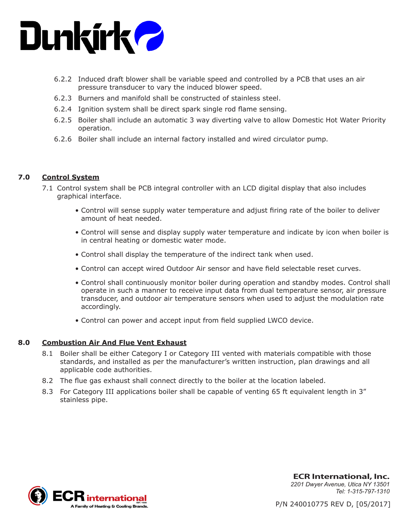

- 6.2.2 Induced draft blower shall be variable speed and controlled by a PCB that uses an air pressure transducer to vary the induced blower speed.
- 6.2.3 Burners and manifold shall be constructed of stainless steel.
- 6.2.4 Ignition system shall be direct spark single rod flame sensing.
- 6.2.5 Boiler shall include an automatic 3 way diverting valve to allow Domestic Hot Water Priority operation.
- 6.2.6 Boiler shall include an internal factory installed and wired circulator pump.

#### **7.0 Control System**

- 7.1 Control system shall be PCB integral controller with an LCD digital display that also includes graphical interface.
	- Control will sense supply water temperature and adjust firing rate of the boiler to deliver amount of heat needed.
	- Control will sense and display supply water temperature and indicate by icon when boiler is in central heating or domestic water mode.
	- Control shall display the temperature of the indirect tank when used.
	- Control can accept wired Outdoor Air sensor and have field selectable reset curves.
	- Control shall continuously monitor boiler during operation and standby modes. Control shall operate in such a manner to receive input data from dual temperature sensor, air pressure transducer, and outdoor air temperature sensors when used to adjust the modulation rate accordingly.
	- Control can power and accept input from field supplied LWCO device.

#### **8.0 Combustion Air And Flue Vent Exhaust**

- 8.1 Boiler shall be either Category I or Category III vented with materials compatible with those standards, and installed as per the manufacturer's written instruction, plan drawings and all applicable code authorities.
- 8.2 The flue gas exhaust shall connect directly to the boiler at the location labeled.
- 8.3 For Category III applications boiler shall be capable of venting 65 ft equivalent length in 3" stainless pipe.



**ECR International, Inc.** *2201 Dwyer Avenue, Utica NY 13501 Tel: 1-315-797-1310*

P/N 240010775 REV D, [05/2017]